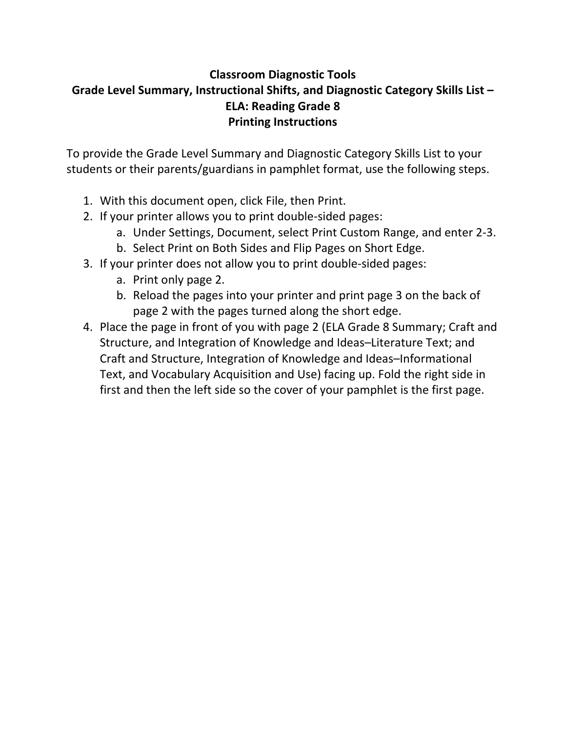# **Classroom Diagnostic Tools Grade Level Summary, Instructional Shifts, and Diagnostic Category Skills List – ELA: Reading Grade 8 Printing Instructions**

To provide the Grade Level Summary and Diagnostic Category Skills List to your students or their parents/guardians in pamphlet format, use the following steps.

- 1. With this document open, click File, then Print.
- 2. If your printer allows you to print double‐sided pages:
	- a. Under Settings, Document, select Print Custom Range, and enter 2‐3.
	- b. Select Print on Both Sides and Flip Pages on Short Edge.
- 3. If your printer does not allow you to print double‐sided pages:
	- a. Print only page 2.
	- b. Reload the pages into your printer and print page 3 on the back of page 2 with the pages turned along the short edge.
- 4. Place the page in front of you with page 2 (ELA Grade 8 Summary; Craft and Structure, and Integration of Knowledge and Ideas–Literature Text; and Craft and Structure, Integration of Knowledge and Ideas–Informational Text, and Vocabulary Acquisition and Use) facing up. Fold the right side in first and then the left side so the cover of your pamphlet is the first page.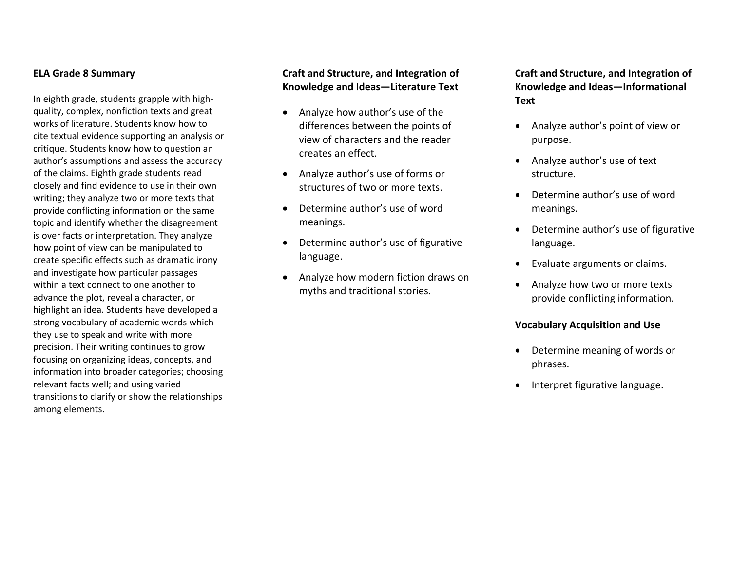#### **ELA Grade 8 Summary**

In eighth grade, students grapple with high‐ quality, complex, nonfiction texts and great works of literature. Students know how to cite textual evidence supporting an analysis or critique. Students know how to question an author's assumptions and assess the accuracy of the claims. Eighth grade students read closely and find evidence to use in their own writing; they analyze two or more texts that provide conflicting information on the same topic and identify whether the disagreement is over facts or interpretation. They analyze how point of view can be manipulated to create specific effects such as dramatic irony and investigate how particular passages within a text connect to one another to advance the plot, reveal <sup>a</sup> character, or highlight an idea. Students have developed <sup>a</sup> strong vocabulary of academic words which they use to speak and write with more precision. Their writing continues to grow focusing on organizing ideas, concepts, and information into broader categories; choosing relevant facts well; and using varied transitions to clarify or show the relationships among elements.

### **Craft and Structure, and Integration of Knowledge and Ideas—Literature Text**

- $\bullet$  Analyze how author's use of the differences between the points of view of characters and the reader creates an effect.
- Analyze author's use of forms or structures of two or more texts.
- $\bullet$  Determine author's use of wordmeanings.
- $\bullet$  Determine author's use of figurative language.
- $\bullet$  Analyze how modern fiction draws on myths and traditional stories.

**Craft and Structure, and Integration of Knowledge and Ideas—Informational Text**

- . Analyze author's point of view or purpose.
- Analyze author's use of text structure.
- Determine author's use of wordmeanings.
- Determine author's use of figurative language.
- Evaluate arguments or claims.
- . Analyze how two or more texts provide conflicting information.

#### **Vocabulary Acquisition and Use**

- Determine meaning of words or phrases.
- Interpret figurative language.